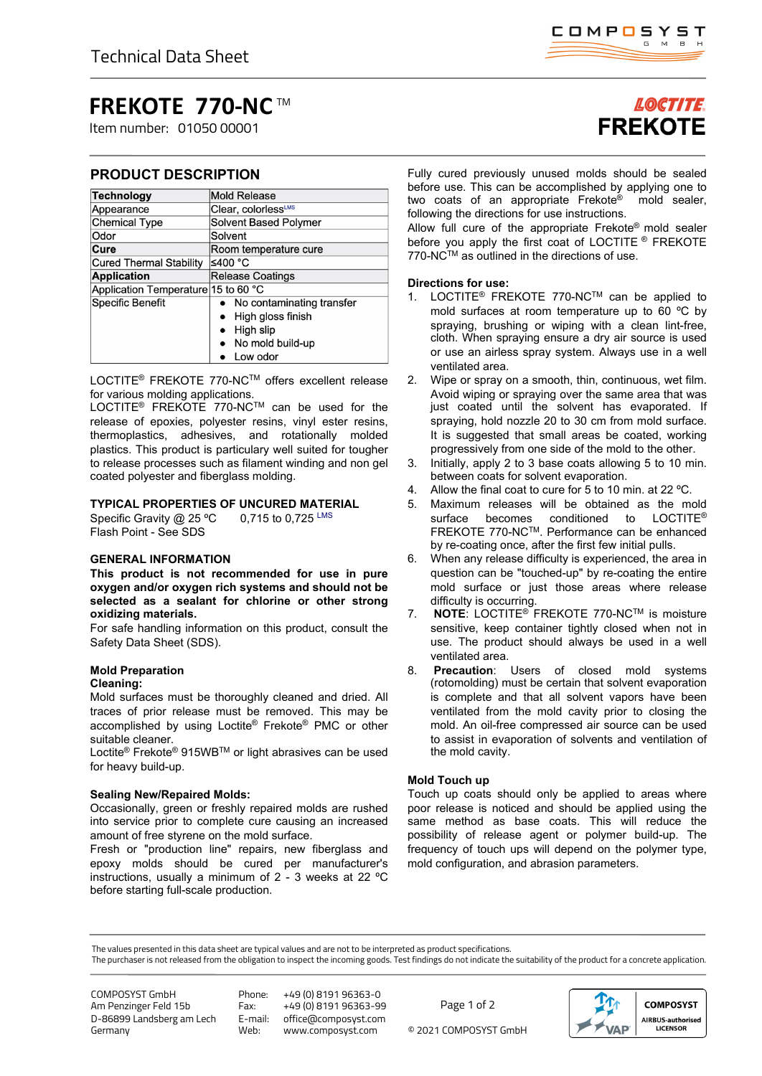# **FREKOTE 770-NC** TM

Item number: 01050 00001

# **PRODUCT DESCRIPTION**

| Technology                          | Mold Release                   |
|-------------------------------------|--------------------------------|
| Appearance                          | Clear, colorlessLMS            |
| <b>Chemical Type</b>                | Solvent Based Polymer          |
| Odor                                | Solvent                        |
| Cure                                | Room temperature cure          |
| <b>Cured Thermal Stability</b>      | ≤400 °C                        |
| <b>Application</b>                  | <b>Release Coatings</b>        |
| Application Temperature 15 to 60 °C |                                |
| <b>Specific Benefit</b>             | • No contaminating transfer    |
|                                     | High gloss finish<br>$\bullet$ |
|                                     | High slip                      |
|                                     | • No mold build-up             |
|                                     | Low odor                       |

LOCTITE® FREKOTE 770-NCTM offers excellent release for various molding applications.

LOCTITE® FREKOTE 770-NCTM can be used for the release of epoxies, polyester resins, vinyl ester resins, thermoplastics, adhesives, and rotationally molded plastics. This product is particulary well suited for tougher to release processes such as filament winding and non gel coated polyester and fiberglass molding.

## **TYPICAL PROPERTIES OF UNCURED MATERIAL**

Specific Gravity  $@$  25 °C 0,715 to 0,725 LMS Flash Point - See SDS

## **GENERAL INFORMATION**

**This product is not recommended for use in pure oxygen and/or oxygen rich systems and should not be selected as a sealant for chlorine or other strong oxidizing materials.**

For safe handling information on this product, consult the Safety Data Sheet (SDS).

#### **Mold Preparation Cleaning:**

Mold surfaces must be thoroughly cleaned and dried. All traces of prior release must be removed. This may be accomplished by using Loctite® Frekote® PMC or other suitable cleaner.

Loctite® Frekote® 915WBTM or light abrasives can be used for heavy build-up.

## **Sealing New/Repaired Molds:**

Occasionally, green or freshly repaired molds are rushed into service prior to complete cure causing an increased amount of free styrene on the mold surface.

Fresh or "production line" repairs, new fiberglass and epoxy molds should be cured per manufacturer's instructions, usually a minimum of 2 - 3 weeks at 22 ºC before starting full-scale production.

# **LOCTITE FREKOTE**

Fully cured previously unused molds should be sealed before use. This can be accomplished by applying one to two coats of an appropriate Frekote® mold sealer, following the directions for use instructions.

Allow full cure of the appropriate Frekote® mold sealer before you apply the first coat of LOCTITE ® FREKOTE 770-NC™ as outlined in the directions of use.

## **Directions for use:**

- 1. LOCTITE® FREKOTE 770-NCTM can be applied to mold surfaces at room temperature up to 60 ºC by spraying, brushing or wiping with a clean lint-free, cloth. When spraying ensure a dry air source is used or use an airless spray system. Always use in a well ventilated area.
- 2. Wipe or spray on a smooth, thin, continuous, wet film. Avoid wiping or spraying over the same area that was just coated until the solvent has evaporated. If spraying, hold nozzle 20 to 30 cm from mold surface. It is suggested that small areas be coated, working progressively from one side of the mold to the other.
- 3. Initially, apply 2 to 3 base coats allowing 5 to 10 min. between coats for solvent evaporation.
- 4. Allow the final coat to cure for 5 to 10 min. at 22 °C.
- 5. Maximum releases will be obtained as the mold surface becomes conditioned to LOCTITE<sup>®</sup> FREKOTE 770-NC™. Performance can be enhanced by re-coating once, after the first few initial pulls.
- 6. When any release difficulty is experienced, the area in question can be "touched-up" by re-coating the entire mold surface or just those areas where release difficulty is occurring.
- 7. **NOTE**: LOCTITE® FREKOTE 770-NCTM is moisture sensitive, keep container tightly closed when not in use. The product should always be used in a well ventilated area.
- 8. **Precaution**: Users of closed mold systems (rotomolding) must be certain that solvent evaporation is complete and that all solvent vapors have been ventilated from the mold cavity prior to closing the mold. An oil-free compressed air source can be used to assist in evaporation of solvents and ventilation of the mold cavity.

## **Mold Touch up**

Touch up coats should only be applied to areas where poor release is noticed and should be applied using the same method as base coats. This will reduce the possibility of release agent or polymer build-up. The frequency of touch ups will depend on the polymer type, mold configuration, and abrasion parameters.

The values presented in this data sheet are typical values and are not to be interpreted as product specifications.

The purchaser is not released from the obligation to inspect the incoming goods. Test findings do not indicate the suitability of the product for a concrete application.

COMPOSYST GmbH Am Penzinger Feld 15b D-86899 Landsberg am Lech Germany

Phone: +49 (0) 8191 96363-0 Fax: +49 (0) 8191 96363-99<br>E-mail: office@composyst.com E-mail: office@composyst.com

© 2021 COMPOSYST GmbH Page 1 of 2